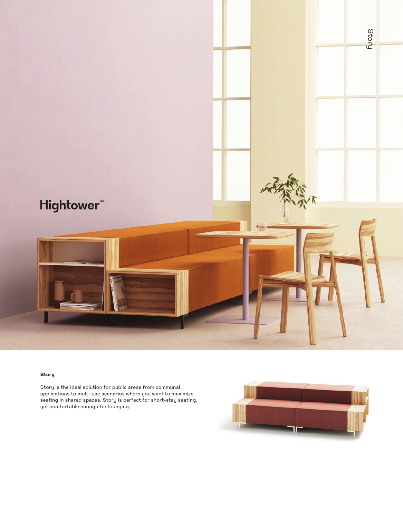

## **Story**

Story is the ideal solution for public areas from communal applications to multi-use scenarios where you want to maximize seating in shared spaces. Story is perfect for short-stay seating, yet comfortable enough for lounging.